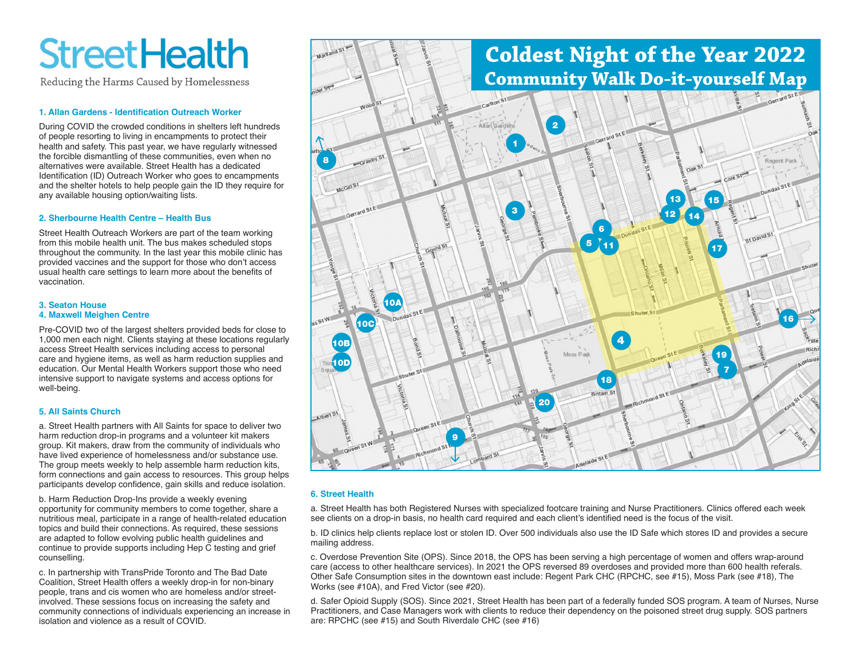# **StreetHealth**

Reducing the Harms Caused by Homelessness

# **1. Allan Gardens - Identification Outreach Worker**

During COVID the crowded conditions in shelters left hundreds of people resorting to living in encampments to protect their health and safety. This past year, we have regularly witnessed the forcible dismantling of these communities, even when no alternatives were available. Street Health has a dedicated Identification (ID) Outreach Worker who goes to encampments and the shelter hotels to help people gain the ID they require for any available housing option/waiting lists.

# **2. Sherbourne Health Centre – Health Bus**

Street Health Outreach Workers are part of the team working from this mobile health unit. The bus makes scheduled stops throughout the community. In the last year this mobile clinic has provided vaccines and the support for those who don't access usual health care settings to learn more about the benefits of vaccination.

# **3. Seaton House 4. Maxwell Meighen Centre**

Pre-COVID two of the largest shelters provided beds for close to 1,000 men each night. Clients staying at these locations regularly access Street Health services including access to personal care and hygiene items, as well as harm reduction supplies and education. Our Mental Health Workers support those who need intensive support to navigate systems and access options for well-being.

# **5. All Saints Church**

a. Street Health partners with All Saints for space to deliver two harm reduction drop-in programs and a volunteer kit makers group. Kit makers, draw from the community of individuals who have lived experience of homelessness and/or substance use. The group meets weekly to help assemble harm reduction kits, form connections and gain access to resources. This group helps participants develop confidence, gain skills and reduce isolation.

b. Harm Reduction Drop-Ins provide a weekly evening opportunity for community members to come together, share a nutritious meal, participate in a range of health-related education topics and build their connections. As required, these sessions are adapted to follow evolving public health guidelines and continue to provide supports including Hep C testing and grief counselling.

c. In partnership with TransPride Toronto and The Bad Date Coalition, Street Health offers a weekly drop-in for non-binary people, trans and cis women who are homeless and/or streetinvolved. These sessions focus on increasing the safety and community connections of individuals experiencing an increase in isolation and violence as a result of COVID.



# **6. Street Health**

a. Street Health has both Registered Nurses with specialized footcare training and Nurse Practitioners. Clinics offered each week see clients on a drop-in basis, no health card required and each client's identified need is the focus of the visit.

b. ID clinics help clients replace lost or stolen ID. Over 500 individuals also use the ID Safe which stores ID and provides a secure mailing address.

c. Overdose Prevention Site (OPS). Since 2018, the OPS has been serving a high percentage of women and offers wrap-around care (access to other healthcare services). In 2021 the OPS reversed 89 overdoses and provided more than 600 health referals. Other Safe Consumption sites in the downtown east include: Regent Park CHC (RPCHC, see #15), Moss Park (see #18), The Works (see #10A), and Fred Victor (see #20).

d. Safer Opioid Supply (SOS). Since 2021, Street Health has been part of a federally funded SOS program. A team of Nurses, Nurse Practitioners, and Case Managers work with clients to reduce their dependency on the poisoned street drug supply. SOS partners are: RPCHC (see #15) and South Riverdale CHC (see #16)